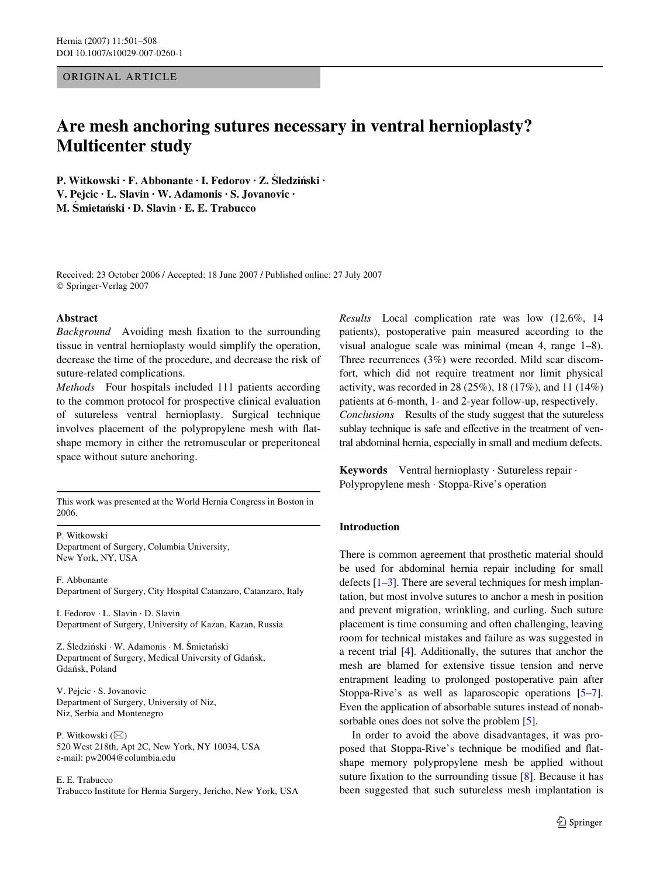## ORIGINAL ARTICLE

# **Are mesh anchoring sutures necessary in ventral hernioplasty? Multicenter study**

**P. Witkowski · F. Abbonante · I. Fedorov · Z. Jledzijski · V. Pejcic · L. Slavin · W. Adamonis · S. Jovanovic · M. Jmietajski · D. Slavin · E. E. Trabucco** 

Received: 23 October 2006 / Accepted: 18 June 2007 / Published online: 27 July 2007 © Springer-Verlag 2007

#### **Abstract**

*Background* Avoiding mesh fixation to the surrounding tissue in ventral hernioplasty would simplify the operation, decrease the time of the procedure, and decrease the risk of suture-related complications.

*Methods* Four hospitals included 111 patients according to the common protocol for prospective clinical evaluation of sutureless ventral hernioplasty. Surgical technique involves placement of the polypropylene mesh with flatshape memory in either the retromuscular or preperitoneal space without suture anchoring.

This work was presented at the World Hernia Congress in Boston in 2006.

P. Witkowski Department of Surgery, Columbia University, New York, NY, USA

F. Abbonante Department of Surgery, City Hospital Catanzaro, Catanzaro, Italy

I. Fedorov · L. Slavin · D. Slavin Department of Surgery, University of Kazan, Kazan, Russia

Z. Śledziński · W. Adamonis · M. Śmietański Department of Surgery, Medical University of Gdańsk, Gdańsk, Poland

V. Pejcic · S. Jovanovic Department of Surgery, University of Niz, Niz, Serbia and Montenegro

P. Witkowski  $(\boxtimes)$ 520 West 218th, Apt 2C, New York, NY 10034, USA e-mail: pw2004@columbia.edu

E. E. Trabucco Trabucco Institute for Hernia Surgery, Jericho, New York, USA *Results* Local complication rate was low (12.6%, 14 patients), postoperative pain measured according to the visual analogue scale was minimal (mean 4, range 1–8). Three recurrences (3%) were recorded. Mild scar discomfort, which did not require treatment nor limit physical activity, was recorded in 28 (25%), 18 (17%), and 11 (14%) patients at 6-month, 1- and 2-year follow-up, respectively. *Conclusions* Results of the study suggest that the sutureless sublay technique is safe and effective in the treatment of ventral abdominal hernia, especially in small and medium defects.

**Keywords** Ventral hernioplasty · Sutureless repair · Polypropylene mesh · Stoppa-Rive's operation

# **Introduction**

There is common agreement that prosthetic material should be used for abdominal hernia repair including for small defects [[1–](#page-6-0)[3](#page-6-1)]. There are several techniques for mesh implantation, but most involve sutures to anchor a mesh in position and prevent migration, wrinkling, and curling. Such suture placement is time consuming and often challenging, leaving room for technical mistakes and failure as was suggested in a recent trial [[4\]](#page-7-0). Additionally, the sutures that anchor the mesh are blamed for extensive tissue tension and nerve entrapment leading to prolonged postoperative pain after Stoppa-Rive's as well as laparoscopic operations [[5–](#page-7-1)[7\]](#page-7-2). Even the application of absorbable sutures instead of nonabsorbable ones does not solve the problem [[5\]](#page-7-1).

In order to avoid the above disadvantages, it was proposed that Stoppa-Rive's technique be modified and flatshape memory polypropylene mesh be applied without suture fixation to the surrounding tissue  $[8]$  $[8]$ . Because it has been suggested that such sutureless mesh implantation is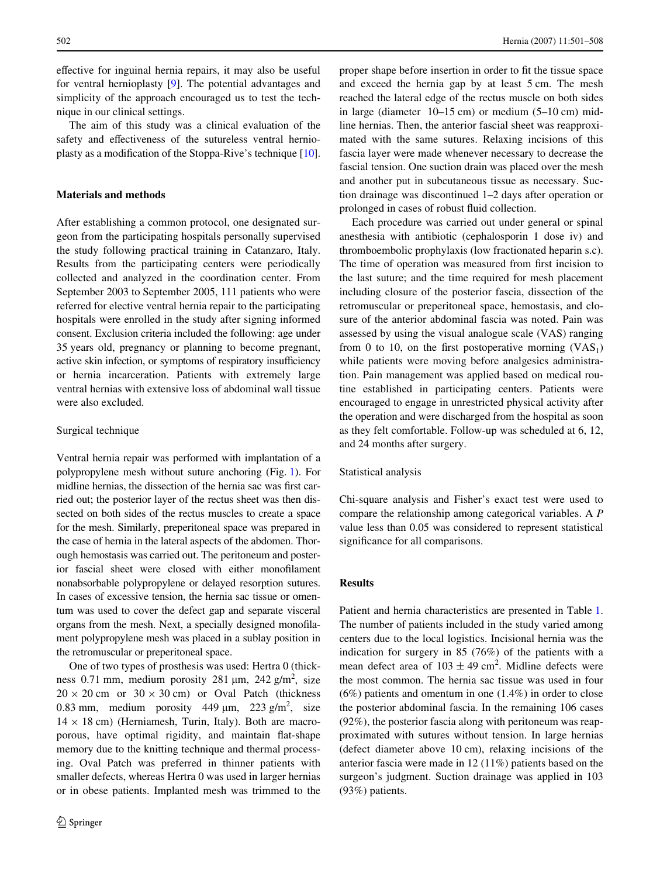effective for inguinal hernia repairs, it may also be useful for ventral hernioplasty [\[9](#page-7-4)]. The potential advantages and simplicity of the approach encouraged us to test the technique in our clinical settings.

The aim of this study was a clinical evaluation of the safety and effectiveness of the sutureless ventral hernio-plasty as a modification of the Stoppa-Rive's technique [[10](#page-7-5)].

### **Materials and methods**

After establishing a common protocol, one designated surgeon from the participating hospitals personally supervised the study following practical training in Catanzaro, Italy. Results from the participating centers were periodically collected and analyzed in the coordination center. From September 2003 to September 2005, 111 patients who were referred for elective ventral hernia repair to the participating hospitals were enrolled in the study after signing informed consent. Exclusion criteria included the following: age under 35 years old, pregnancy or planning to become pregnant, active skin infection, or symptoms of respiratory insufficiency or hernia incarceration. Patients with extremely large ventral hernias with extensive loss of abdominal wall tissue were also excluded.

#### Surgical technique

Ventral hernia repair was performed with implantation of a polypropylene mesh without suture anchoring (Fig. [1](#page-2-0)). For midline hernias, the dissection of the hernia sac was first carried out; the posterior layer of the rectus sheet was then dissected on both sides of the rectus muscles to create a space for the mesh. Similarly, preperitoneal space was prepared in the case of hernia in the lateral aspects of the abdomen. Thorough hemostasis was carried out. The peritoneum and posterior fascial sheet were closed with either monofilament nonabsorbable polypropylene or delayed resorption sutures. In cases of excessive tension, the hernia sac tissue or omentum was used to cover the defect gap and separate visceral organs from the mesh. Next, a specially designed monofilament polypropylene mesh was placed in a sublay position in the retromuscular or preperitoneal space.

One of two types of prosthesis was used: Hertra 0 (thickness 0.71 mm, medium porosity 281  $\mu$ m, 242 g/m<sup>2</sup>, size  $20 \times 20$  cm or  $30 \times 30$  cm) or Oval Patch (thickness 0.83 mm, medium porosity 449  $\mu$ m, 223 g/m<sup>2</sup>, size  $14 \times 18$  cm) (Herniamesh, Turin, Italy). Both are macroporous, have optimal rigidity, and maintain flat-shape memory due to the knitting technique and thermal processing. Oval Patch was preferred in thinner patients with smaller defects, whereas Hertra 0 was used in larger hernias or in obese patients. Implanted mesh was trimmed to the proper shape before insertion in order to fit the tissue space and exceed the hernia gap by at least 5 cm. The mesh reached the lateral edge of the rectus muscle on both sides in large (diameter 10–15 cm) or medium (5–10 cm) midline hernias. Then, the anterior fascial sheet was reapproximated with the same sutures. Relaxing incisions of this fascia layer were made whenever necessary to decrease the fascial tension. One suction drain was placed over the mesh and another put in subcutaneous tissue as necessary. Suction drainage was discontinued 1–2 days after operation or prolonged in cases of robust fluid collection.

Each procedure was carried out under general or spinal anesthesia with antibiotic (cephalosporin 1 dose iv) and thromboembolic prophylaxis (low fractionated heparin s.c). The time of operation was measured from first incision to the last suture; and the time required for mesh placement including closure of the posterior fascia, dissection of the retromuscular or preperitoneal space, hemostasis, and closure of the anterior abdominal fascia was noted. Pain was assessed by using the visual analogue scale (VAS) ranging from 0 to 10, on the first postoperative morning  $(VAS_1)$ while patients were moving before analgesics administration. Pain management was applied based on medical routine established in participating centers. Patients were encouraged to engage in unrestricted physical activity after the operation and were discharged from the hospital as soon as they felt comfortable. Follow-up was scheduled at 6, 12, and 24 months after surgery.

#### Statistical analysis

Chi-square analysis and Fisher's exact test were used to compare the relationship among categorical variables. A *P* value less than 0.05 was considered to represent statistical significance for all comparisons.

## **Results**

Patient and hernia characteristics are presented in Table [1.](#page-2-1) The number of patients included in the study varied among centers due to the local logistics. Incisional hernia was the indication for surgery in 85 (76%) of the patients with a mean defect area of  $103 \pm 49$  cm<sup>2</sup>. Midline defects were the most common. The hernia sac tissue was used in four (6%) patients and omentum in one (1.4%) in order to close the posterior abdominal fascia. In the remaining 106 cases (92%), the posterior fascia along with peritoneum was reapproximated with sutures without tension. In large hernias (defect diameter above 10 cm), relaxing incisions of the anterior fascia were made in 12 (11%) patients based on the surgeon's judgment. Suction drainage was applied in 103 (93%) patients.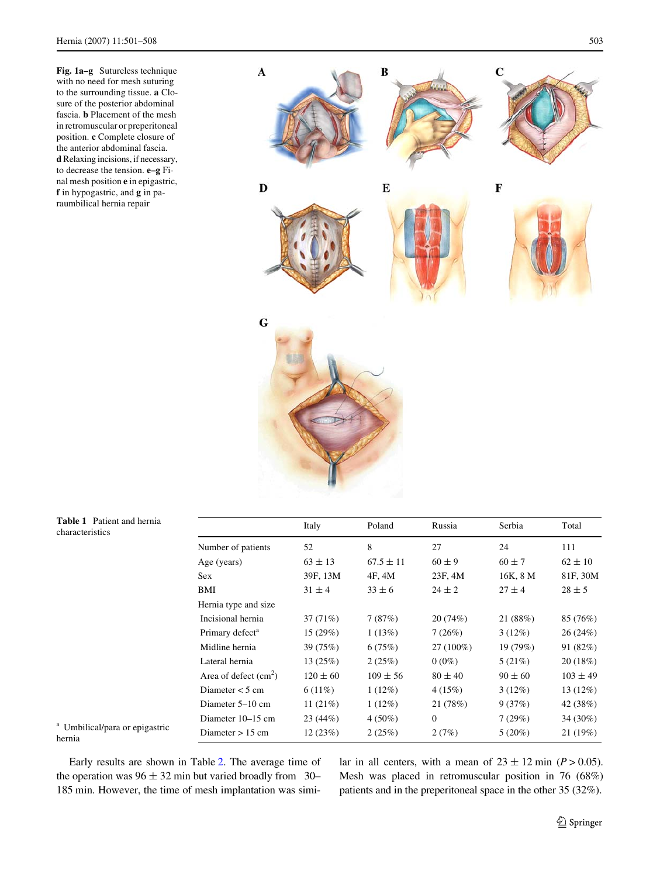<span id="page-2-0"></span>**Fig. 1a–g** Sutureless technique with no need for mesh suturing to the surrounding tissue. **a** Closure of the posterior abdominal fascia. **b** Placement of the mesh in retromuscular or preperitoneal position. **c** Complete closure of the anterior abdominal fascia. **d** Relaxing incisions, if necessary, to decrease the tension. **e–g** Final mesh position **e** in epigastric, **f** in hypogastric, and **g** in paraumbilical hernia repair



<span id="page-2-1"></span>**Table 1** Patient and hernia

| <b>rabic 1</b> rationi and norma<br>characteristics |                             | Italy        | Poland        | Russia       | Serbia      | Total        |
|-----------------------------------------------------|-----------------------------|--------------|---------------|--------------|-------------|--------------|
|                                                     | Number of patients          | 52           | 8             | 27           | 24          | 111          |
|                                                     | Age (years)                 | $63 \pm 13$  | $67.5 \pm 11$ | $60 \pm 9$   | $60 \pm 7$  | $62 \pm 10$  |
|                                                     | Sex                         | 39F, 13M     | 4F, 4M        | 23F, 4M      | 16K, 8 M    | 81F, 30M     |
|                                                     | BMI                         | $31 \pm 4$   | $33 \pm 6$    | $24 \pm 2$   | $27 \pm 4$  | $28 \pm 5$   |
|                                                     | Hernia type and size        |              |               |              |             |              |
|                                                     | Incisional hernia           | 37(71%)      | 7(87%)        | 20(74%)      | 21 (88%)    | 85 (76%)     |
|                                                     | Primary defect <sup>a</sup> | 15(29%)      | 1(13%)        | 7(26%)       | $3(12\%)$   | 26(24%)      |
|                                                     | Midline hernia              | 39 (75%)     | 6(75%)        | $27(100\%)$  | 19(79%)     | 91(82%)      |
|                                                     | Lateral hernia              | 13(25%)      | 2(25%)        | $0(0\%)$     | 5(21%)      | 20(18%)      |
| <sup>a</sup> Umbilical/para or epigastric<br>hernia | Area of defect $(cm2)$      | $120 \pm 60$ | $109 \pm 56$  | $80 \pm 40$  | $90 \pm 60$ | $103 \pm 49$ |
|                                                     | Diameter $<$ 5 cm           | $6(11\%)$    | $1(12\%)$     | 4(15%)       | $3(12\%)$   | 13(12%)      |
|                                                     | Diameter 5–10 cm            | 11 $(21%)$   | $1(12\%)$     | 21(78%)      | 9(37%)      | 42 (38%)     |
|                                                     | Diameter 10–15 cm           | 23(44%)      | $4(50\%)$     | $\mathbf{0}$ | 7(29%)      | 34 (30%)     |
|                                                     | Diameter $> 15$ cm          | 12(23%)      | 2(25%)        | 2(7%)        | $5(20\%)$   | 21(19%)      |

<sup>a</sup> Umbilical/para or epigastric hernia

Early results are shown in Table [2](#page-3-0). The average time of the operation was  $96 \pm 32$  min but varied broadly from 30– 185 min. However, the time of mesh implantation was similar in all centers, with a mean of  $23 \pm 12$  min ( $P > 0.05$ ). Mesh was placed in retromuscular position in 76 (68%) patients and in the preperitoneal space in the other 35 (32%).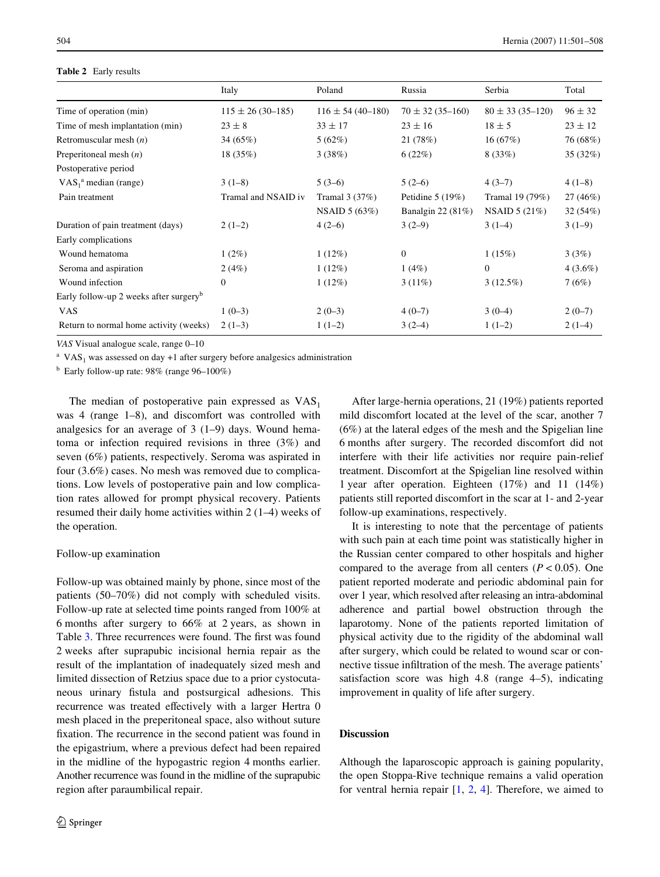## <span id="page-3-0"></span>**Table 2** Early results

|                                                    | Italy                   | Poland                 | Russia                | Serbia                | Total       |
|----------------------------------------------------|-------------------------|------------------------|-----------------------|-----------------------|-------------|
| Time of operation (min)                            | $115 \pm 26 (30 - 185)$ | $116 \pm 54(40 - 180)$ | $70 \pm 32(35 - 160)$ | $80 \pm 33(35 - 120)$ | $96 \pm 32$ |
| Time of mesh implantation (min)                    | $23 \pm 8$              | $33 \pm 17$            | $23 \pm 16$           | $18 \pm 5$            | $23 \pm 12$ |
| Retromuscular mesh $(n)$                           | 34 $(65%)$              | 5(62%)                 | 21 (78%)              | 16(67%)               | 76 (68%)    |
| Preperitoneal mesh $(n)$                           | 18(35%)                 | 3(38%)                 | 6(22%)                | 8(33%)                | 35(32%)     |
| Postoperative period                               |                         |                        |                       |                       |             |
| $VAS_1^a$ median (range)                           | $3(1-8)$                | $5(3-6)$               | $5(2-6)$              | $4(3-7)$              | $4(1-8)$    |
| Pain treatment                                     | Tramal and NSAID iv     | Tramal 3 (37%)         | Petidine $5(19%)$     | Tramal 19 (79%)       | 27(46%)     |
|                                                    |                         | NSAID $5(63%)$         | Banalgin 22 $(81%)$   | NSAID $5(21%)$        | 32(54%)     |
| Duration of pain treatment (days)                  | $2(1-2)$                | $4(2-6)$               | $3(2-9)$              | $3(1-4)$              | $3(1-9)$    |
| Early complications                                |                         |                        |                       |                       |             |
| Wound hematoma                                     | $1(2\%)$                | $1(12\%)$              | $\mathbf{0}$          | 1(15%)                | 3(3%)       |
| Seroma and aspiration                              | 2(4%)                   | $1(12\%)$              | 1(4%)                 | $\Omega$              | $4(3.6\%)$  |
| Wound infection                                    | $\mathbf{0}$            | $1(12\%)$              | $3(11\%)$             | $3(12.5\%)$           | 7(6%)       |
| Early follow-up 2 weeks after surgery <sup>b</sup> |                         |                        |                       |                       |             |
| <b>VAS</b>                                         | $1(0-3)$                | $2(0-3)$               | $4(0-7)$              | $3(0-4)$              | $2(0-7)$    |
| Return to normal home activity (weeks)             | $2(1-3)$                | $1(1-2)$               | $3(2-4)$              | $1(1-2)$              | $2(1-4)$    |

*VAS* Visual analogue scale, range 0–10

<sup>a</sup> VAS<sub>1</sub> was assessed on day +1 after surgery before analgesics administration

 $<sup>b</sup>$  Early follow-up rate: 98% (range 96–100%)</sup>

The median of postoperative pain expressed as  $VAS<sub>1</sub>$ was 4 (range 1–8), and discomfort was controlled with analgesics for an average of 3 (1–9) days. Wound hematoma or infection required revisions in three (3%) and seven (6%) patients, respectively. Seroma was aspirated in four (3.6%) cases. No mesh was removed due to complications. Low levels of postoperative pain and low complication rates allowed for prompt physical recovery. Patients resumed their daily home activities within 2 (1–4) weeks of the operation.

#### Follow-up examination

Follow-up was obtained mainly by phone, since most of the patients (50–70%) did not comply with scheduled visits. Follow-up rate at selected time points ranged from 100% at 6 months after surgery to 66% at 2 years, as shown in Table [3](#page-4-0). Three recurrences were found. The first was found 2 weeks after suprapubic incisional hernia repair as the result of the implantation of inadequately sized mesh and limited dissection of Retzius space due to a prior cystocutaneous urinary fistula and postsurgical adhesions. This recurrence was treated effectively with a larger Hertra 0 mesh placed in the preperitoneal space, also without suture fixation. The recurrence in the second patient was found in the epigastrium, where a previous defect had been repaired in the midline of the hypogastric region 4 months earlier. Another recurrence was found in the midline of the suprapubic region after paraumbilical repair.

After large-hernia operations, 21 (19%) patients reported mild discomfort located at the level of the scar, another 7 (6%) at the lateral edges of the mesh and the Spigelian line 6 months after surgery. The recorded discomfort did not interfere with their life activities nor require pain-relief treatment. Discomfort at the Spigelian line resolved within 1 year after operation. Eighteen (17%) and 11 (14%) patients still reported discomfort in the scar at 1- and 2-year follow-up examinations, respectively.

It is interesting to note that the percentage of patients with such pain at each time point was statistically higher in the Russian center compared to other hospitals and higher compared to the average from all centers  $(P < 0.05)$ . One patient reported moderate and periodic abdominal pain for over 1 year, which resolved after releasing an intra-abdominal adherence and partial bowel obstruction through the laparotomy. None of the patients reported limitation of physical activity due to the rigidity of the abdominal wall after surgery, which could be related to wound scar or connective tissue infiltration of the mesh. The average patients' satisfaction score was high 4.8 (range 4–5), indicating improvement in quality of life after surgery.

# **Discussion**

Although the laparoscopic approach is gaining popularity, the open Stoppa-Rive technique remains a valid operation for ventral hernia repair  $[1, 2, 4]$  $[1, 2, 4]$  $[1, 2, 4]$  $[1, 2, 4]$  $[1, 2, 4]$  $[1, 2, 4]$ . Therefore, we aimed to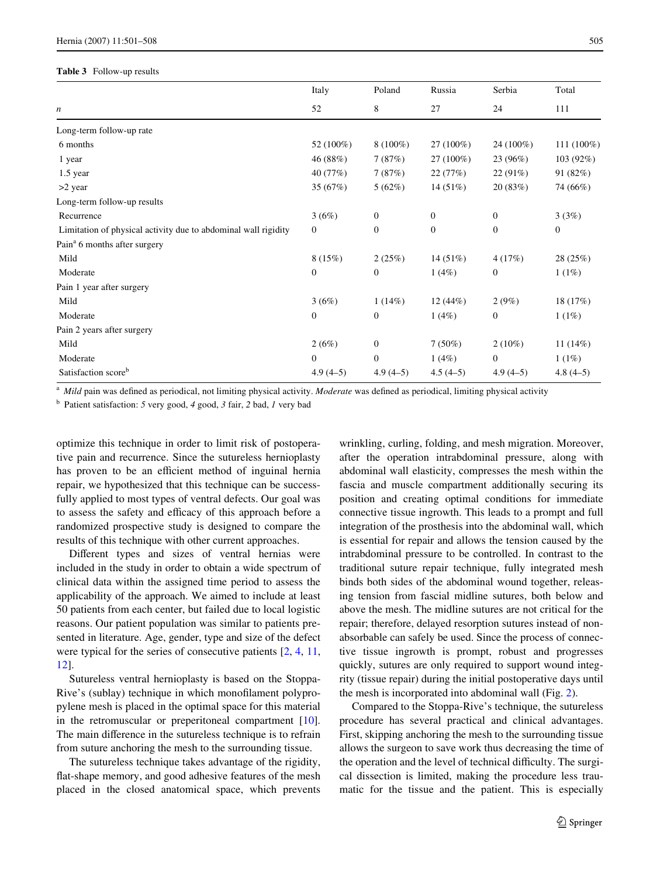#### <span id="page-4-0"></span>**Table 3** Follow-up results

|                                                                | Italy            | Poland           | Russia         | Serbia           | Total            |
|----------------------------------------------------------------|------------------|------------------|----------------|------------------|------------------|
| $\boldsymbol{n}$                                               | 52               | 8                | 27             | 24               | 111              |
| Long-term follow-up rate                                       |                  |                  |                |                  |                  |
| 6 months                                                       | 52 (100%)        | $8(100\%)$       | $27(100\%)$    | 24 (100%)        | $111(100\%)$     |
| 1 year                                                         | 46 (88%)         | 7(87%)           | 27 (100%)      | 23(96%)          | 103(92%)         |
| $1.5$ year                                                     | 40 (77%)         | 7(87%)           | 22(77%)        | 22(91%)          | 91 $(82%)$       |
| $>2$ year                                                      | 35 (67%)         | 5(62%)           | $14(51\%)$     | 20(83%)          | 74 (66%)         |
| Long-term follow-up results                                    |                  |                  |                |                  |                  |
| Recurrence                                                     | 3(6%)            | $\mathbf{0}$     | $\overline{0}$ | 0                | 3(3%)            |
| Limitation of physical activity due to abdominal wall rigidity | $\boldsymbol{0}$ | $\mathbf{0}$     | $\mathbf{0}$   | $\boldsymbol{0}$ | $\boldsymbol{0}$ |
| Pain <sup>a</sup> 6 months after surgery                       |                  |                  |                |                  |                  |
| Mild                                                           | 8(15%)           | 2(25%)           | 14 $(51\%)$    | 4(17%)           | 28 (25%)         |
| Moderate                                                       | $\mathbf{0}$     | $\mathbf{0}$     | 1(4%)          | $\boldsymbol{0}$ | $1(1\%)$         |
| Pain 1 year after surgery                                      |                  |                  |                |                  |                  |
| Mild                                                           | 3(6%)            | 1(14%)           | 12(44%)        | 2(9%)            | 18 (17%)         |
| Moderate                                                       | $\mathbf{0}$     | $\theta$         | 1(4%)          | $\overline{0}$   | 1(1%)            |
| Pain 2 years after surgery                                     |                  |                  |                |                  |                  |
| Mild                                                           | 2(6%)            | $\boldsymbol{0}$ | $7(50\%)$      | $2(10\%)$        | 11 $(14%)$       |
| Moderate                                                       | $\mathbf{0}$     | $\Omega$         | 1(4%)          | $\overline{0}$   | $1(1\%)$         |
| Satisfaction score <sup>b</sup>                                | $4.9(4-5)$       | $4.9(4-5)$       | $4.5(4-5)$     | $4.9(4-5)$       | $4.8(4-5)$       |

<sup>a</sup> *Mild* pain was defined as periodical, not limiting physical activity. *Moderate* was defined as periodical, limiting physical activity

<sup>b</sup> Patient satisfaction: *5* very good, *4* good, *3* fair, *2* bad, *1* very bad

optimize this technique in order to limit risk of postoperative pain and recurrence. Since the sutureless hernioplasty has proven to be an efficient method of inguinal hernia repair, we hypothesized that this technique can be successfully applied to most types of ventral defects. Our goal was to assess the safety and efficacy of this approach before a randomized prospective study is designed to compare the results of this technique with other current approaches.

Different types and sizes of ventral hernias were included in the study in order to obtain a wide spectrum of clinical data within the assigned time period to assess the applicability of the approach. We aimed to include at least 50 patients from each center, but failed due to local logistic reasons. Our patient population was similar to patients presented in literature. Age, gender, type and size of the defect were typical for the series of consecutive patients  $[2, 4, 11, 1]$  $[2, 4, 11, 1]$  $[2, 4, 11, 1]$  $[2, 4, 11, 1]$  $[2, 4, 11, 1]$  $[2, 4, 11, 1]$ [12](#page-7-7)].

Sutureless ventral hernioplasty is based on the Stoppa-Rive's (sublay) technique in which monofilament polypropylene mesh is placed in the optimal space for this material in the retromuscular or preperitoneal compartment [\[10](#page-7-5)]. The main difference in the sutureless technique is to refrain from suture anchoring the mesh to the surrounding tissue.

The sutureless technique takes advantage of the rigidity, flat-shape memory, and good adhesive features of the mesh placed in the closed anatomical space, which prevents

wrinkling, curling, folding, and mesh migration. Moreover, after the operation intrabdominal pressure, along with abdominal wall elasticity, compresses the mesh within the fascia and muscle compartment additionally securing its position and creating optimal conditions for immediate connective tissue ingrowth. This leads to a prompt and full integration of the prosthesis into the abdominal wall, which is essential for repair and allows the tension caused by the intrabdominal pressure to be controlled. In contrast to the traditional suture repair technique, fully integrated mesh binds both sides of the abdominal wound together, releasing tension from fascial midline sutures, both below and above the mesh. The midline sutures are not critical for the repair; therefore, delayed resorption sutures instead of nonabsorbable can safely be used. Since the process of connective tissue ingrowth is prompt, robust and progresses quickly, sutures are only required to support wound integrity (tissue repair) during the initial postoperative days until the mesh is incorporated into abdominal wall (Fig. [2\)](#page-5-0).

Compared to the Stoppa-Rive's technique, the sutureless procedure has several practical and clinical advantages. First, skipping anchoring the mesh to the surrounding tissue allows the surgeon to save work thus decreasing the time of the operation and the level of technical difficulty. The surgical dissection is limited, making the procedure less traumatic for the tissue and the patient. This is especially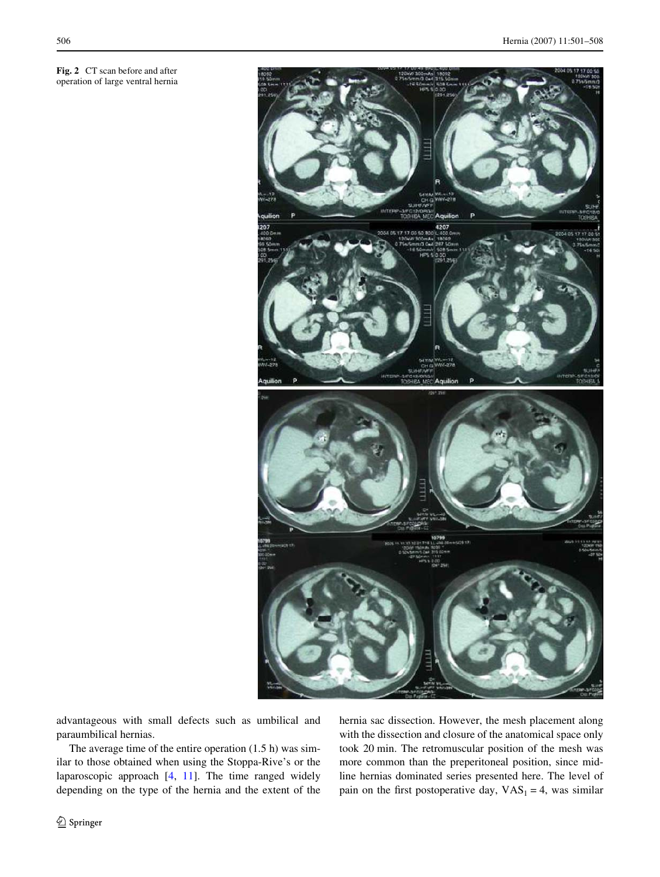<span id="page-5-0"></span>

advantageous with small defects such as umbilical and paraumbilical hernias.

The average time of the entire operation (1.5 h) was similar to those obtained when using the Stoppa-Rive's or the laparoscopic approach [[4,](#page-7-0) [11\]](#page-7-6). The time ranged widely depending on the type of the hernia and the extent of the hernia sac dissection. However, the mesh placement along with the dissection and closure of the anatomical space only took 20 min. The retromuscular position of the mesh was more common than the preperitoneal position, since midline hernias dominated series presented here. The level of pain on the first postoperative day,  $VAS_1 = 4$ , was similar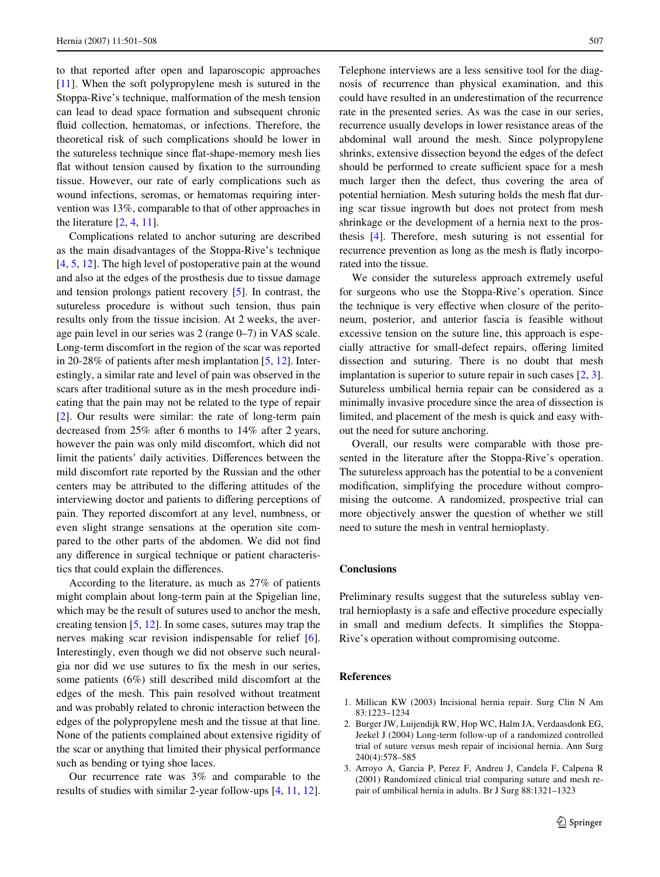to that reported after open and laparoscopic approaches [\[11](#page-7-6)]. When the soft polypropylene mesh is sutured in the Stoppa-Rive's technique, malformation of the mesh tension can lead to dead space formation and subsequent chronic fluid collection, hematomas, or infections. Therefore, the theoretical risk of such complications should be lower in the sutureless technique since flat-shape-memory mesh lies flat without tension caused by fixation to the surrounding tissue. However, our rate of early complications such as wound infections, seromas, or hematomas requiring intervention was 13%, comparable to that of other approaches in the literature  $[2, 4, 11]$  $[2, 4, 11]$  $[2, 4, 11]$  $[2, 4, 11]$  $[2, 4, 11]$  $[2, 4, 11]$ .

Complications related to anchor suturing are described as the main disadvantages of the Stoppa-Rive's technique [\[4](#page-7-0), [5](#page-7-1), [12\]](#page-7-7). The high level of postoperative pain at the wound and also at the edges of the prosthesis due to tissue damage and tension prolongs patient recovery [[5\]](#page-7-1). In contrast, the sutureless procedure is without such tension, thus pain results only from the tissue incision. At 2 weeks, the average pain level in our series was 2 (range 0–7) in VAS scale. Long-term discomfort in the region of the scar was reported in 20-28% of patients after mesh implantation [[5](#page-7-1), [12\]](#page-7-7). Interestingly, a similar rate and level of pain was observed in the scars after traditional suture as in the mesh procedure indicating that the pain may not be related to the type of repair [\[2](#page-6-2)]. Our results were similar: the rate of long-term pain decreased from 25% after 6 months to 14% after 2 years, however the pain was only mild discomfort, which did not limit the patients' daily activities. Differences between the mild discomfort rate reported by the Russian and the other centers may be attributed to the differing attitudes of the interviewing doctor and patients to differing perceptions of pain. They reported discomfort at any level, numbness, or even slight strange sensations at the operation site compared to the other parts of the abdomen. We did not find any difference in surgical technique or patient characteristics that could explain the differences.

According to the literature, as much as 27% of patients might complain about long-term pain at the Spigelian line, which may be the result of sutures used to anchor the mesh, creating tension  $[5, 12]$  $[5, 12]$  $[5, 12]$  $[5, 12]$ . In some cases, sutures may trap the nerves making scar revision indispensable for relief [\[6](#page-7-8)]. Interestingly, even though we did not observe such neuralgia nor did we use sutures to fix the mesh in our series, some patients (6%) still described mild discomfort at the edges of the mesh. This pain resolved without treatment and was probably related to chronic interaction between the edges of the polypropylene mesh and the tissue at that line. None of the patients complained about extensive rigidity of the scar or anything that limited their physical performance such as bending or tying shoe laces.

Our recurrence rate was 3% and comparable to the results of studies with similar 2-year follow-ups [\[4](#page-7-0), [11](#page-7-6), [12](#page-7-7)].

Telephone interviews are a less sensitive tool for the diagnosis of recurrence than physical examination, and this could have resulted in an underestimation of the recurrence rate in the presented series. As was the case in our series, recurrence usually develops in lower resistance areas of the abdominal wall around the mesh. Since polypropylene shrinks, extensive dissection beyond the edges of the defect should be performed to create sufficient space for a mesh much larger then the defect, thus covering the area of potential herniation. Mesh suturing holds the mesh flat during scar tissue ingrowth but does not protect from mesh shrinkage or the development of a hernia next to the prosthesis [\[4](#page-7-0)]. Therefore, mesh suturing is not essential for recurrence prevention as long as the mesh is flatly incorporated into the tissue.

We consider the sutureless approach extremely useful for surgeons who use the Stoppa-Rive's operation. Since the technique is very effective when closure of the peritoneum, posterior, and anterior fascia is feasible without excessive tension on the suture line, this approach is especially attractive for small-defect repairs, offering limited dissection and suturing. There is no doubt that mesh implantation is superior to suture repair in such cases [[2,](#page-6-2) [3](#page-6-1)]. Sutureless umbilical hernia repair can be considered as a minimally invasive procedure since the area of dissection is limited, and placement of the mesh is quick and easy without the need for suture anchoring.

Overall, our results were comparable with those presented in the literature after the Stoppa-Rive's operation. The sutureless approach has the potential to be a convenient modification, simplifying the procedure without compromising the outcome. A randomized, prospective trial can more objectively answer the question of whether we still need to suture the mesh in ventral hernioplasty.

## **Conclusions**

Preliminary results suggest that the sutureless sublay ventral hernioplasty is a safe and effective procedure especially in small and medium defects. It simplifies the Stoppa-Rive's operation without compromising outcome.

# **References**

- <span id="page-6-0"></span>1. Millican KW (2003) Incisional hernia repair. Surg Clin N Am 83:1223–1234
- <span id="page-6-2"></span>2. Burger JW, Luijendijk RW, Hop WC, Halm JA, Verdaasdonk EG, Jeekel J (2004) Long-term follow-up of a randomized controlled trial of suture versus mesh repair of incisional hernia. Ann Surg 240(4):578–585
- <span id="page-6-1"></span>3. Arroyo A, Garcia P, Perez F, Andreu J, Candela F, Calpena R (2001) Randomized clinical trial comparing suture and mesh repair of umbilical hernia in adults. Br J Surg 88:1321–1323